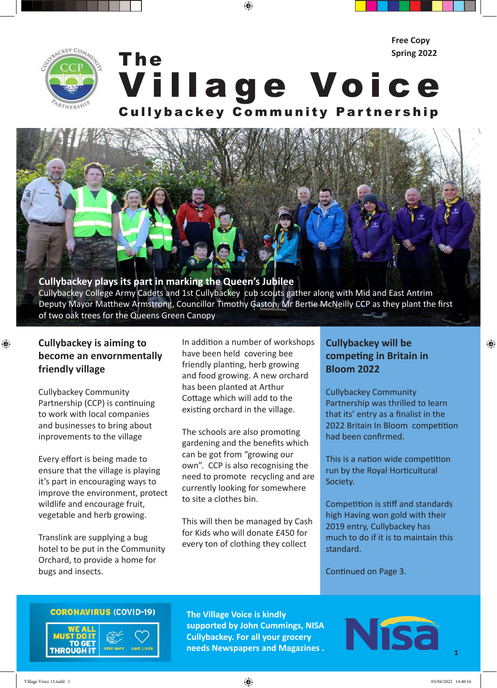

The Village Voice Cullybackey Community Partnership **Spring 2022**

⊕

# **Cullybackey plays its part in marking the Queen's Jubilee**

Cullybackey College Army Cadets and 1st Cullybackey cub scouts gather along with Mid and East Antrim Deputy Mayor Matthew Armstrong, Councillor Timothy Gaston, Mr Bertie McNeilly CCP as they plant the first of two oak trees for the Queens Green Canopy

# **Cullybackey is aiming to become an envornmentally friendly village**

 $\bigoplus$ 

Cullybackey Community Partnership (CCP) is continuing to work with local companies and businesses to bring about inprovements to the village

Every effort is being made to ensure that the village is playing it's part in encouraging ways to improve the environment, protect wildlife and encourage fruit, vegetable and herb growing.

Translink are supplying a bug hotel to be put in the Community Orchard, to provide a home for bugs and insects.

In addition a number of workshops have been held covering bee friendly planting, herb growing and food growing. A new orchard has been planted at Arthur Cottage which will add to the existing orchard in the village.

The schools are also promoting gardening and the benefits which can be got from "growing our own". CCP is also recognising the need to promote recycling and are currently looking for somewhere to site a clothes bin.

This will then be managed by Cash for Kids who will donate £450 for every ton of clothing they collect

# **Cullybackey will be competing in Britain in Bloom 2022**

Cullybackey Community Partnership was thrilled to learn that its' entry as a finalist in the 2022 Britain In Bloom competition had been confirmed.

**Free Copy**

This is a nation wide competition run by the Royal Horticultural Society.

Competition is stiff and standards high Having won gold with their 2019 entry, Cullybackey has much to do if it is to maintain this standard.

Continued on Page 3.

# **CORONAVIRUS (COVID-19)**



**The Village Voice is kindly supported by John Cummings, NISA Cullybackey. For all your grocery needs Newspapers and Magazines .**



**1**

 $\bigoplus$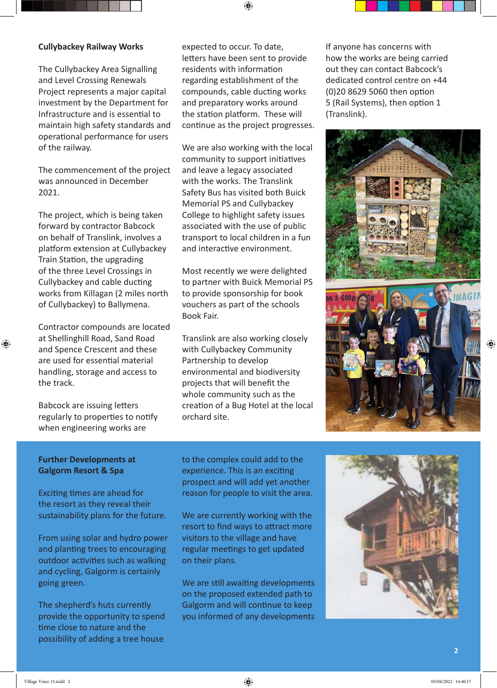### **Cullybackey Railway Works**

The Cullybackey Area Signalling and Level Crossing Renewals Project represents a major capital investment by the Department for Infrastructure and is essential to maintain high safety standards and operational performance for users of the railway.

The commencement of the project was announced in December 2021.

The project, which is being taken forward by contractor Babcock on behalf of Translink, involves a platform extension at Cullybackey Train Station, the upgrading of the three Level Crossings in Cullybackey and cable ducting works from Killagan (2 miles north of Cullybackey) to Ballymena.

Contractor compounds are located at Shellinghill Road, Sand Road and Spence Crescent and these are used for essential material handling, storage and access to the track.

⊕

Babcock are issuing letters regularly to properties to notify when engineering works are

expected to occur. To date, letters have been sent to provide residents with information regarding establishment of the compounds, cable ducting works and preparatory works around the station platform. These will continue as the project progresses.

We are also working with the local community to support initiatives and leave a legacy associated with the works. The Translink Safety Bus has visited both Buick Memorial PS and Cullybackey College to highlight safety issues associated with the use of public transport to local children in a fun and interactive environment.

Most recently we were delighted to partner with Buick Memorial PS to provide sponsorship for book vouchers as part of the schools Book Fair.

Translink are also working closely with Cullybackey Community Partnership to develop environmental and biodiversity projects that will benefit the whole community such as the creation of a Bug Hotel at the local orchard site.

If anyone has concerns with how the works are being carried out they can contact Babcock's dedicated control centre on +44 (0)20 8629 5060 then option 5 (Rail Systems), then option 1 (Translink).



# **Further Developments at Galgorm Resort & Spa**

Exciting times are ahead for the resort as they reveal their sustainability plans for the future.

From using solar and hydro power and planting trees to encouraging outdoor activities such as walking and cycling, Galgorm is certainly going green.

The shepherd's huts currently provide the opportunity to spend time close to nature and the possibility of adding a tree house to the complex could add to the experience. This is an exciting prospect and will add yet another reason for people to visit the area.

We are currently working with the resort to find ways to attract more visitors to the village and have regular meetings to get updated on their plans.

We are still awaiting developments on the proposed extended path to Galgorm and will continue to keep you informed of any developments

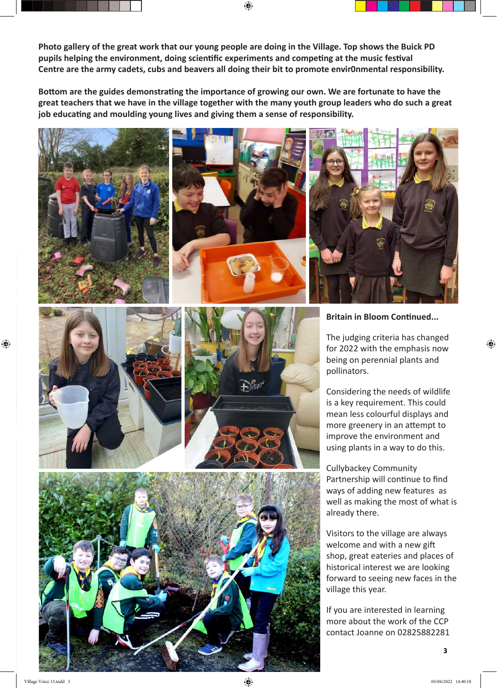**Photo gallery of the great work that our young people are doing in the Village. Top shows the Buick PD pupils helping the environment, doing scientific experiments and competing at the music festival Centre are the army cadets, cubs and beavers all doing their bit to promote envir0nmental responsibility.**

**Bottom are the guides demonstrating the importance of growing our own. We are fortunate to have the great teachers that we have in the village together with the many youth group leaders who do such a great job educating and moulding young lives and giving them a sense of responsibility.**







### **Britain in Bloom Continued...**

The judging criteria has changed for 2022 with the emphasis now being on perennial plants and pollinators.

⊕

Considering the needs of wildlife is a key requirement. This could mean less colourful displays and more greenery in an attempt to improve the environment and using plants in a way to do this.

Cullybackey Community Partnership will continue to find ways of adding new features as well as making the most of what is already there.

Visitors to the village are always welcome and with a new gift shop, great eateries and places of historical interest we are looking forward to seeing new faces in the village this year.

If you are interested in learning more about the work of the CCP contact Joanne on 02825882281

⊕